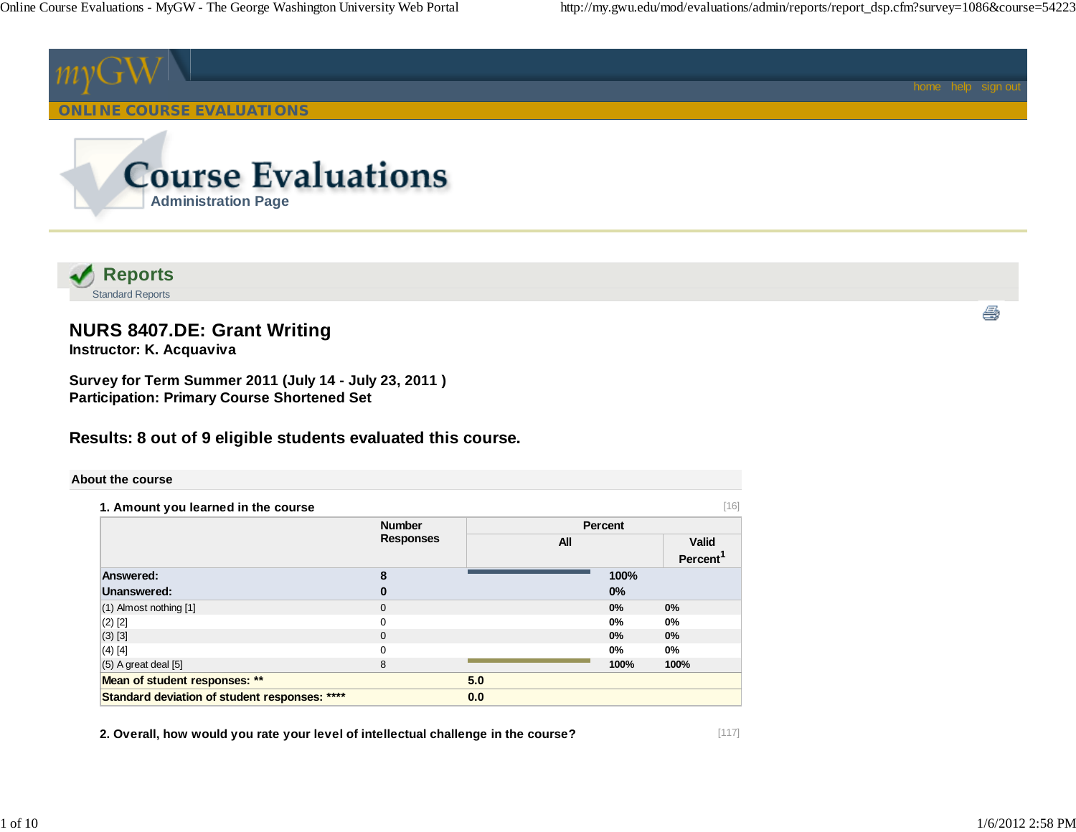

 **Reports** Standard Reports

# **NURS 8407.DE: Grant Writing**

**Instructor: K. Acquaviva**

**Survey for Term Summer 2011 (July 14 - July 23, 2011 ) Participation: Primary Course Shortened Set**

# **Results: 8 out of 9 eligible students evaluated this course.**

### **About the course**

| 1. Amount you learned in the course           |                                   |            |         | [16]                 |
|-----------------------------------------------|-----------------------------------|------------|---------|----------------------|
|                                               | <b>Number</b><br><b>Responses</b> |            | Percent |                      |
|                                               |                                   | <b>All</b> |         | Valid                |
|                                               |                                   |            |         | Percent <sup>'</sup> |
| Answered:                                     | 8                                 |            | 100%    |                      |
| Unanswered:                                   | 0                                 |            | 0%      |                      |
| $(1)$ Almost nothing $[1]$                    | $\mathbf 0$                       |            | 0%      | 0%                   |
| $(2)$ [2]                                     | $\Omega$                          |            | $0\%$   | 0%                   |
| $(3)$ [3]                                     | $\Omega$                          |            | 0%      | 0%                   |
| $(4)$ [4]                                     | $\Omega$                          |            | $0\%$   | $0\%$                |
| $(5)$ A great deal $[5]$                      | 8                                 |            | 100%    | 100%                 |
| Mean of student responses: **                 |                                   | 5.0        |         |                      |
| Standard deviation of student responses: **** |                                   | 0.0        |         |                      |

**2. Overall, how would you rate your level of intellectual challenge in the course?**

4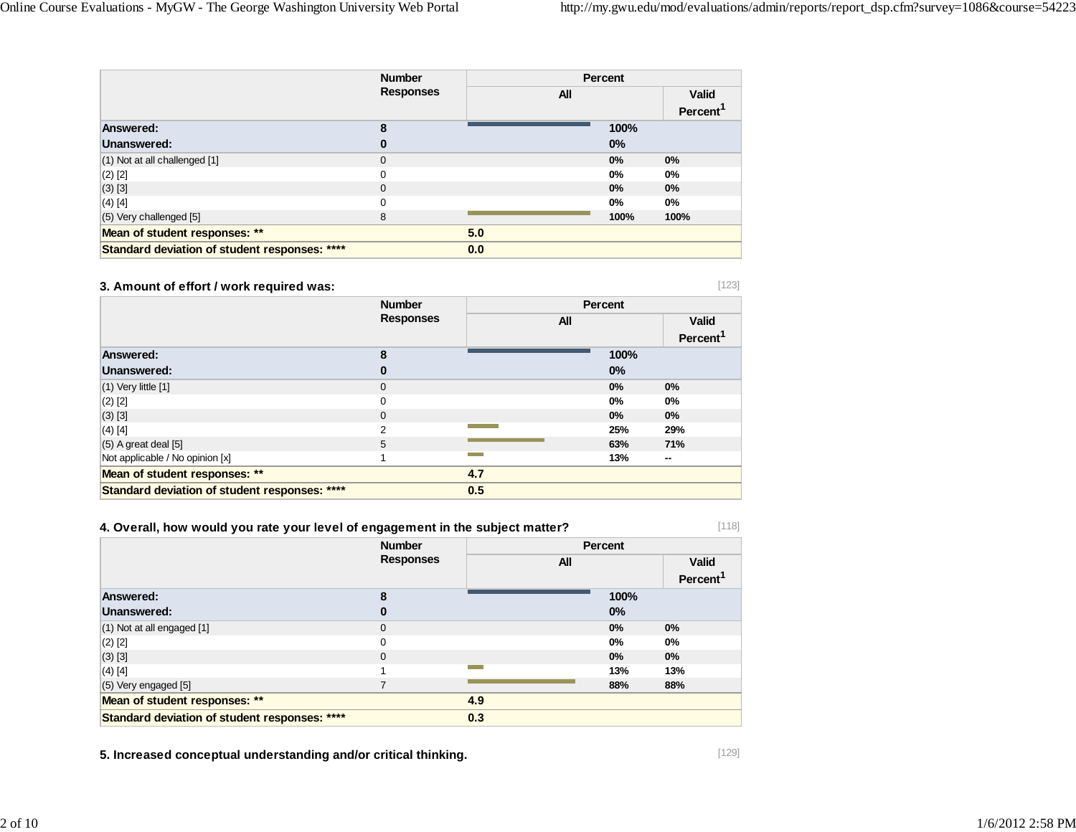|                                               | <b>Number</b>    | Percent |       |                      |
|-----------------------------------------------|------------------|---------|-------|----------------------|
|                                               | <b>Responses</b> | All     |       | <b>Valid</b>         |
|                                               |                  |         |       | Percent <sup>1</sup> |
| Answered:                                     | 8                |         | 100%  |                      |
| Unanswered:                                   | 0                |         | 0%    |                      |
| (1) Not at all challenged [1]                 | $\Omega$         |         | 0%    | 0%                   |
| $(2)$ [2]                                     | 0                |         | $0\%$ | $0\%$                |
| (3) [3]                                       | $\Omega$         |         | 0%    | 0%                   |
| $(4)$ [4]                                     | 0                |         | $0\%$ | 0%                   |
| $(5)$ Very challenged $[5]$                   | 8                |         | 100%  | 100%                 |
| Mean of student responses: **                 |                  | 5.0     |       |                      |
| Standard deviation of student responses: **** |                  | 0.0     |       |                      |

### **3. Amount of effort / work required was:**

|                                               | <b>Number</b>    |            | <b>Percent</b> |                      |
|-----------------------------------------------|------------------|------------|----------------|----------------------|
|                                               | <b>Responses</b> | <b>All</b> |                |                      |
|                                               |                  |            |                | Percent <sup>'</sup> |
| Answered:                                     | 8                |            | 100%           |                      |
| Unanswered:                                   | 0                |            | $0\%$          |                      |
| $(1)$ Very little $[1]$                       | $\mathbf{0}$     |            | 0%             | 0%                   |
| $(2)$ [2]                                     | 0                |            | 0%             | $0\%$                |
| $(3)$ [3]                                     | $\mathbf 0$      |            | $0\%$          | $0\%$                |
| $(4)$ [4]                                     | $\overline{2}$   |            | 25%            | 29%                  |
| $(5)$ A great deal $[5]$                      | 5                |            | 63%            | 71%                  |
| Not applicable / No opinion [x]               |                  |            | 13%            | $\sim$               |
| Mean of student responses: **                 |                  | 4.7        |                |                      |
| Standard deviation of student responses: **** |                  | 0.5        |                |                      |

# **4. Overall, how would you rate your level of engagement in the subject matter?**

 **Number Responses Percent All Valid Percent<sup>1</sup> Answered: 8 100% Unanswered: 0 0%** $0\%$ (1) Not at all engaged [1] 0 **0% 0%** (2) [2] 0 **0% 0%** (3) [3] 0 **0% 0%** (4) [4] 1 **13% 13%** (5) Very engaged [5] 7 **88% 88% Mean of student responses: \*\* 4.9 Standard deviation of student responses: \*\*\*\* 0.3**

**5. Increased conceptual understanding and/or critical thinking.**

[118]

[123]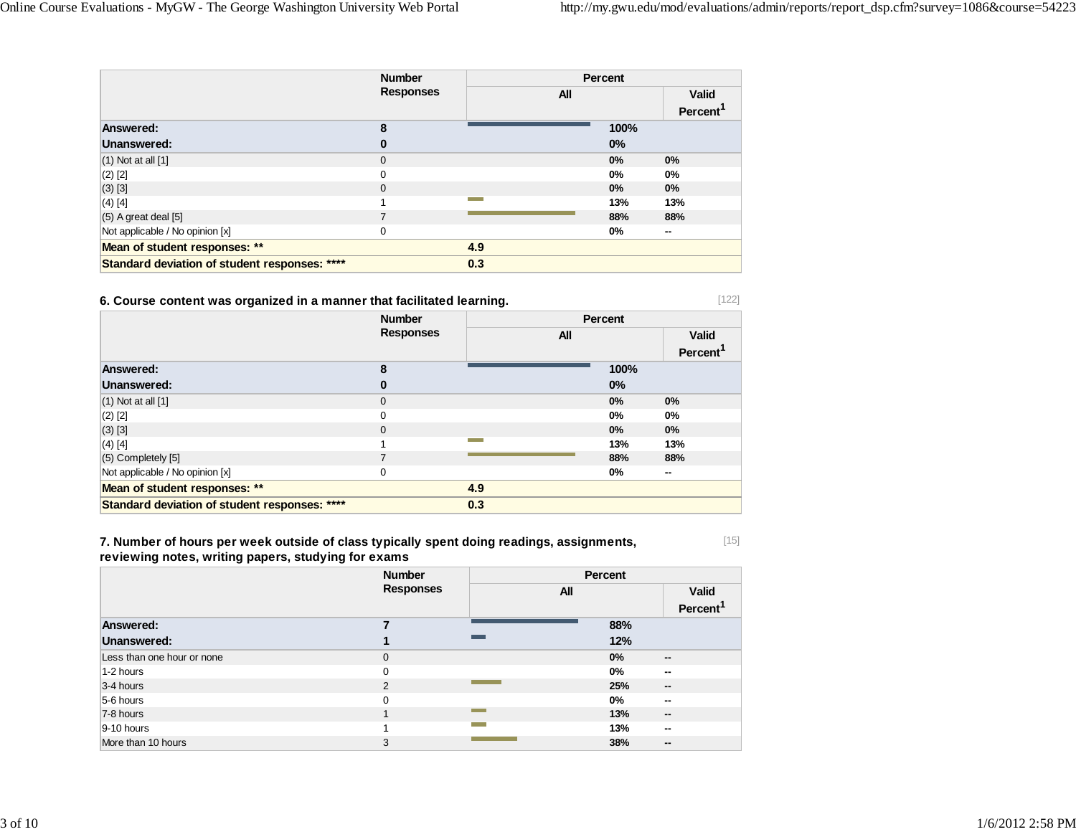|                                               | <b>Number</b><br><b>Responses</b> |     | Percent |                                      |
|-----------------------------------------------|-----------------------------------|-----|---------|--------------------------------------|
|                                               |                                   | All |         | <b>Valid</b><br>Percent <sup>1</sup> |
| Answered:                                     | 8                                 |     | 100%    |                                      |
| Unanswered:                                   | 0                                 |     | $0\%$   |                                      |
| $(1)$ Not at all $[1]$                        | $\Omega$                          |     | 0%      | 0%                                   |
| $(2)$ [2]                                     | 0                                 |     | $0\%$   | $0\%$                                |
| $(3)$ [3]                                     | 0                                 |     | $0\%$   | $0\%$                                |
| $(4)$ [4]                                     |                                   |     | 13%     | 13%                                  |
| $(5)$ A great deal $[5]$                      | 7                                 |     | 88%     | 88%                                  |
| Not applicable / No opinion [x]               | 0                                 |     | 0%      | $\sim$                               |
| Mean of student responses: **                 |                                   | 4.9 |         |                                      |
| Standard deviation of student responses: **** |                                   | 0.3 |         |                                      |

## **6. Course content was organized in a manner that facilitated learning.**

|                                               | <b>Number</b>    |                               | Percent |                      |
|-----------------------------------------------|------------------|-------------------------------|---------|----------------------|
|                                               | <b>Responses</b> | All                           |         | <b>Valid</b>         |
|                                               |                  |                               |         | Percent <sup>1</sup> |
| Answered:                                     | 8                |                               | 100%    |                      |
| Unanswered:                                   | 0                |                               | 0%      |                      |
| $(1)$ Not at all $[1]$                        | 0                |                               | 0%      | 0%                   |
| $(2)$ [2]                                     | 0                |                               | 0%      | 0%                   |
| $(3)$ [3]                                     | $\mathbf 0$      |                               | 0%      | $0\%$                |
| $(4)$ [4]                                     |                  | <b>The Contract of Street</b> | 13%     | 13%                  |
| (5) Completely [5]                            | 7                |                               | 88%     | 88%                  |
| Not applicable / No opinion [x]               | 0                |                               | 0%      | --                   |
| Mean of student responses: **                 |                  | 4.9                           |         |                      |
| Standard deviation of student responses: **** |                  | 0.3                           |         |                      |

**7. Number of hours per week outside of class typically spent doing readings, assignments, reviewing notes, writing papers, studying for exams**

|                            | <b>Number</b><br><b>Responses</b> |            | Percent |                          |  |
|----------------------------|-----------------------------------|------------|---------|--------------------------|--|
|                            |                                   | <b>All</b> |         | <b>Valid</b>             |  |
|                            |                                   |            |         | Percent <sup>1</sup>     |  |
| Answered:                  |                                   |            | 88%     |                          |  |
| Unanswered:                |                                   |            | 12%     |                          |  |
| Less than one hour or none | $\mathbf 0$                       |            | 0%      | $\sim$                   |  |
| 1-2 hours                  | $\mathbf 0$                       |            | 0%      | --                       |  |
| 3-4 hours                  | 2                                 |            | 25%     | $\overline{\phantom{a}}$ |  |
| 5-6 hours                  | $\Omega$                          |            | $0\%$   | --                       |  |
| 7-8 hours                  |                                   |            | 13%     | $\sim$                   |  |
| $9-10$ hours               |                                   |            | 13%     | --                       |  |
| More than 10 hours         | 3                                 |            | 38%     | --                       |  |

[15]

[122]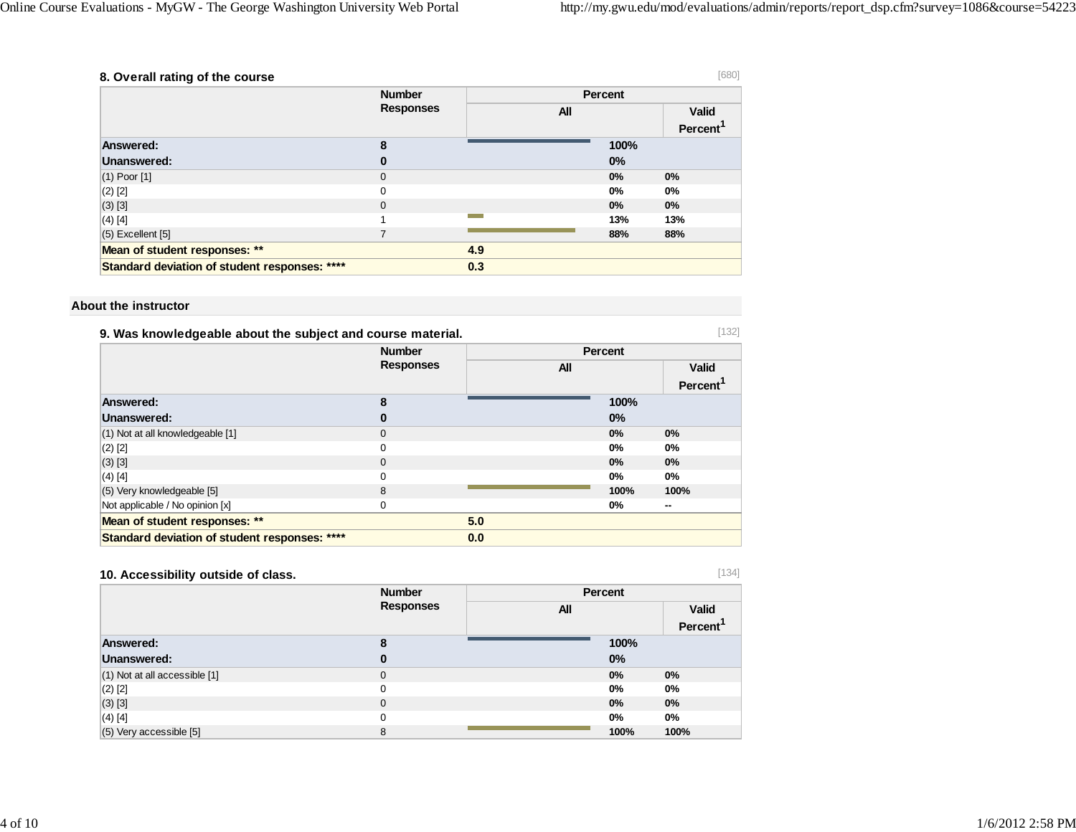| 8. Overall rating of the course               |                  |            |                | [680]                          |
|-----------------------------------------------|------------------|------------|----------------|--------------------------------|
|                                               | <b>Number</b>    |            | <b>Percent</b> |                                |
|                                               | <b>Responses</b> | <b>All</b> |                | <b>Valid</b><br><b>Percent</b> |
| Answered:                                     | 8                |            | 100%           |                                |
| Unanswered:                                   | 0                |            | 0%             |                                |
| $(1)$ Poor $[1]$                              | $\mathbf{0}$     |            | 0%             | 0%                             |
| $(2)$ [2]                                     | 0                |            | $0\%$          | $0\%$                          |
| $(3)$ [3]                                     | $\Omega$         |            | $0\%$          | 0%                             |
| $(4)$ [4]                                     |                  |            | 13%            | 13%                            |
| $(5)$ Excellent $[5]$                         |                  |            | 88%            | 88%                            |
| Mean of student responses: **                 |                  | 4.9        |                |                                |
| Standard deviation of student responses: **** |                  | 0.3        |                |                                |

#### **About the instructor**

| [132]<br>9. Was knowledgeable about the subject and course material. |                                   |     |         |                |
|----------------------------------------------------------------------|-----------------------------------|-----|---------|----------------|
|                                                                      | <b>Number</b><br><b>Responses</b> |     | Percent |                |
|                                                                      |                                   |     | All     | Valid          |
|                                                                      |                                   |     |         | <b>Percent</b> |
| Answered:                                                            | 8                                 |     | 100%    |                |
| Unanswered:                                                          | O                                 |     | $0\%$   |                |
| (1) Not at all knowledgeable [1]                                     | $\Omega$                          |     | 0%      | $0\%$          |
| $(2)$ [2]                                                            | 0                                 |     | 0%      | 0%             |
| $(3)$ [3]                                                            | 0                                 |     | 0%      | $0\%$          |
| $(4)$ [4]                                                            | $\Omega$                          |     | 0%      | 0%             |
| (5) Very knowledgeable [5]                                           | 8                                 |     | 100%    | 100%           |
| Not applicable / No opinion [x]                                      | 0                                 |     | 0%      | --             |
| Mean of student responses: **                                        |                                   | 5.0 |         |                |
| Standard deviation of student responses: ****                        |                                   | 0.0 |         |                |

# **10. Accessibility outside of class.**

[134]

|                               | <b>Number</b>    | <b>Percent</b> |                      |
|-------------------------------|------------------|----------------|----------------------|
|                               | <b>Responses</b> | All            | <b>Valid</b>         |
|                               |                  |                | Percent <sup>1</sup> |
| Answered:                     | 8                | 100%           |                      |
| Unanswered:                   | 0                | 0%             |                      |
| (1) Not at all accessible [1] | $\mathbf 0$      | 0%             | $0\%$                |
| $(2)$ [2]                     | 0                | 0%             | 0%                   |
| $(3)$ [3]                     | $\mathbf 0$      | 0%             | $0\%$                |
| $(4)$ [4]                     | $\Omega$         | 0%             | $0\%$                |
| (5) Very accessible [5]       | 8                | 100%           | 100%                 |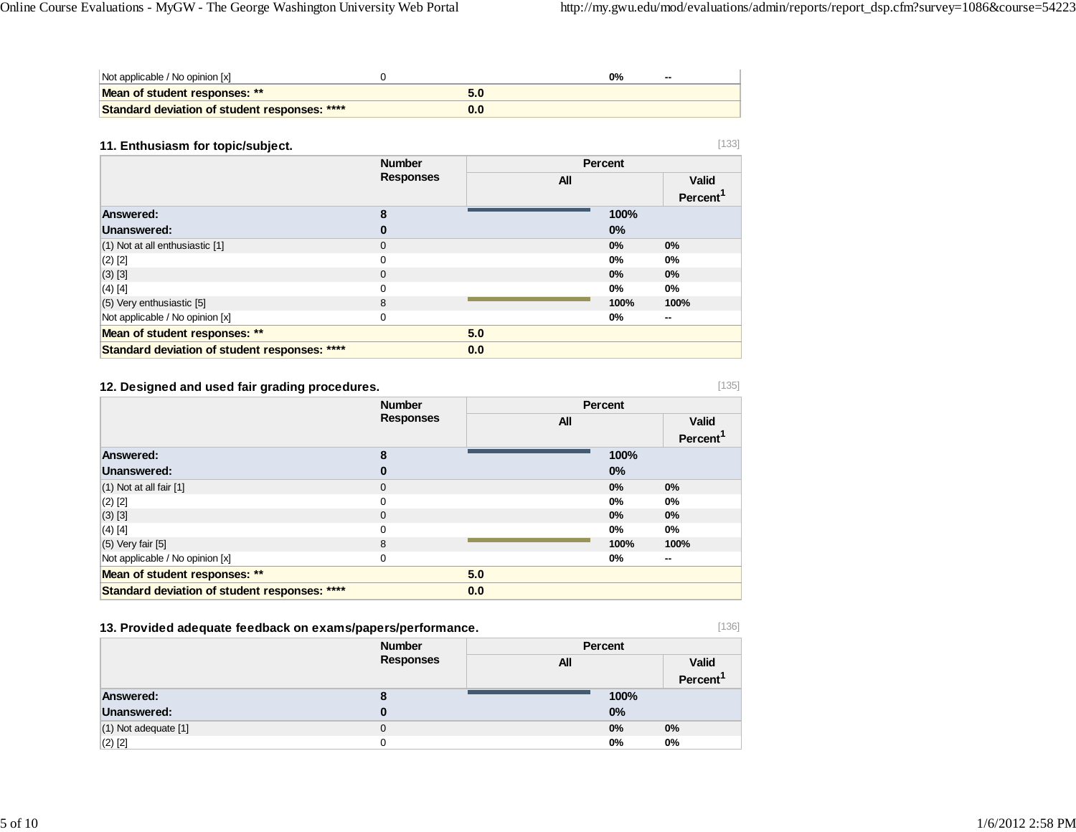[135]

[136]

| Not applicable / No opinion [x]               |  | $0\%$ | -- |
|-----------------------------------------------|--|-------|----|
| Mean of student responses: **                 |  |       |    |
| Standard deviation of student responses: **** |  |       |    |

### **11. Enthusiasm for topic/subject.**

| 11. Enthusiasm for topic/subject.             |                  |     |         | [133]                   |
|-----------------------------------------------|------------------|-----|---------|-------------------------|
|                                               | <b>Number</b>    |     | Percent |                         |
|                                               | <b>Responses</b> | All |         | Valid<br><b>Percent</b> |
| Answered:                                     | 8                |     | 100%    |                         |
| Unanswered:                                   | 0                |     | $0\%$   |                         |
| (1) Not at all enthusiastic [1]               | $\Omega$         |     | 0%      | 0%                      |
| $(2)$ [2]                                     | $\Omega$         |     | $0\%$   | $0\%$                   |
| $(3)$ [3]                                     | $\Omega$         |     | 0%      | 0%                      |
| $(4)$ [4]                                     | 0                |     | 0%      | $0\%$                   |
| $(5)$ Very enthusiastic [5]                   | 8                |     | 100%    | 100%                    |
| Not applicable / No opinion [x]               | 0                |     | $0\%$   | --                      |
| Mean of student responses: **                 |                  | 5.0 |         |                         |
| Standard deviation of student responses: **** |                  | 0.0 |         |                         |

## **12. Designed and used fair grading procedures.**

|                                               | <b>Number</b><br><b>Responses</b> |            | Percent |                      |
|-----------------------------------------------|-----------------------------------|------------|---------|----------------------|
|                                               |                                   | <b>All</b> |         | <b>Valid</b>         |
|                                               |                                   |            |         | Percent <sup>1</sup> |
| Answered:                                     | 8                                 |            | 100%    |                      |
| Unanswered:                                   | 0                                 |            | 0%      |                      |
| $(1)$ Not at all fair $[1]$                   | $\mathbf 0$                       |            | 0%      | $0\%$                |
| $(2)$ [2]                                     | 0                                 |            | $0\%$   | 0%                   |
| $(3)$ [3]                                     | $\Omega$                          |            | 0%      | $0\%$                |
| $(4)$ [4]                                     | 0                                 |            | $0\%$   | 0%                   |
| $(5)$ Very fair $[5]$                         | 8                                 |            | 100%    | 100%                 |
| Not applicable / No opinion [x]               | 0                                 |            | $0\%$   | $\sim$               |
| Mean of student responses: **                 |                                   | 5.0        |         |                      |
| Standard deviation of student responses: **** |                                   | 0.0        |         |                      |

# **13. Provided adequate feedback on exams/papers/performance.**

|                          | <b>Number</b>    | Percent |       |                      |
|--------------------------|------------------|---------|-------|----------------------|
|                          | <b>Responses</b> | All     |       | <b>Valid</b>         |
|                          |                  |         |       | Percent <sup>1</sup> |
| Answered:                | о                |         | 100%  |                      |
| <b>Unanswered:</b>       |                  |         | 0%    |                      |
| $(1)$ Not adequate $[1]$ | 0                |         | $0\%$ | 0%                   |
| $(2)$ $[2]$              |                  |         | 0%    | 0%                   |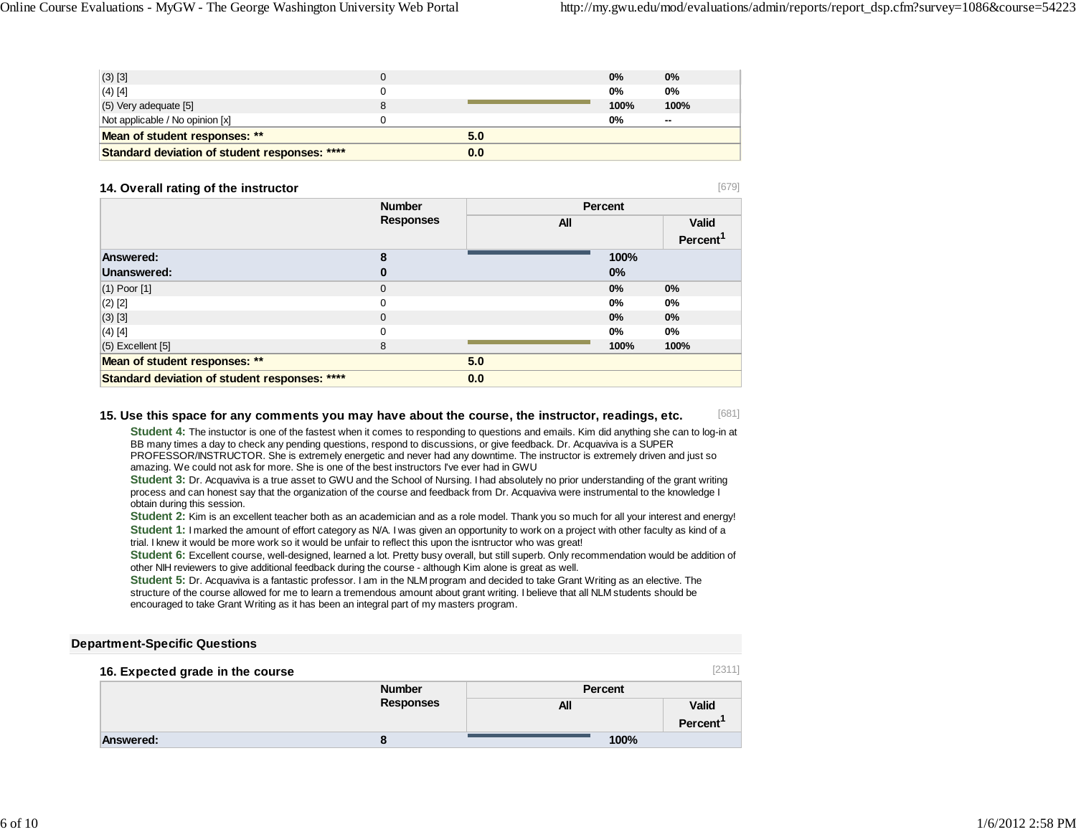[679]

| (3) [3]                                       |     | 0%   | $0\%$  |
|-----------------------------------------------|-----|------|--------|
| $(4)$ [4]                                     |     | 0%   | 0%     |
| (5) Very adequate [5]                         |     | 100% | 100%   |
| Not applicable / No opinion [x]               |     | 0%   | $\sim$ |
| Mean of student responses: **                 | 5.0 |      |        |
| Standard deviation of student responses: **** | 0.0 |      |        |

#### **14. Overall rating of the instructor**

 **NumberResponses Percent All ValidPercent<sup>1</sup> Answered: 8 100% Unanswered: 0 0%** $0%$ (1) Poor [1] 0 **0% 0%** (2) [2] 0 **0% 0%** (3) [3] 0 **0% 0%** (4) [4] 0 **0% 0%** (5) Excellent [5] 8 **100% 100% Mean of student responses: \*\* 5.0 Standard deviation of student responses: \*\*\*\* 0.0**

#### [681] **15. Use this space for any comments you may have about the course, the instructor, readings, etc.**

**Student 4:** The instuctor is one of the fastest when it comes to responding to questions and emails. Kim did anything she can to log-in at BB many times a day to check any pending questions, respond to discussions, or give feedback. Dr. Acquaviva is a SUPER PROFESSOR/INSTRUCTOR. She is extremely energetic and never had any downtime. The instructor is extremely driven and just so amazing. We could not ask for more. She is one of the best instructors I've ever had in GWU

**Student 3:** Dr. Acquaviva is a true asset to GWU and the School of Nursing. I had absolutely no prior understanding of the grant writing process and can honest say that the organization of the course and feedback from Dr. Acquaviva were instrumental to the knowledge I obtain during this session.

**Student 2:** Kim is an excellent teacher both as an academician and as a role model. Thank you so much for all your interest and energy! **Student 1:** I marked the amount of effort category as N/A. I was given an opportunity to work on a project with other faculty as kind of a trial. I knew it would be more work so it would be unfair to reflect this upon the isntructor who was great!

**Student 6:** Excellent course, well-designed, learned a lot. Pretty busy overall, but still superb. Only recommendation would be addition of other NIH reviewers to give additional feedback during the course - although Kim alone is great as well.

**Student 5:** Dr. Acquaviva is a fantastic professor. I am in the NLM program and decided to take Grant Writing as an elective. The structure of the course allowed for me to learn a tremendous amount about grant writing. I believe that all NLM students should be encouraged to take Grant Writing as it has been an integral part of my masters program.

### **Department-Specific Questions**

#### [2311] **16. Expected grade in the course NumberResponses PercentAll ValidPercent<sup>1</sup> Answered: 8100%**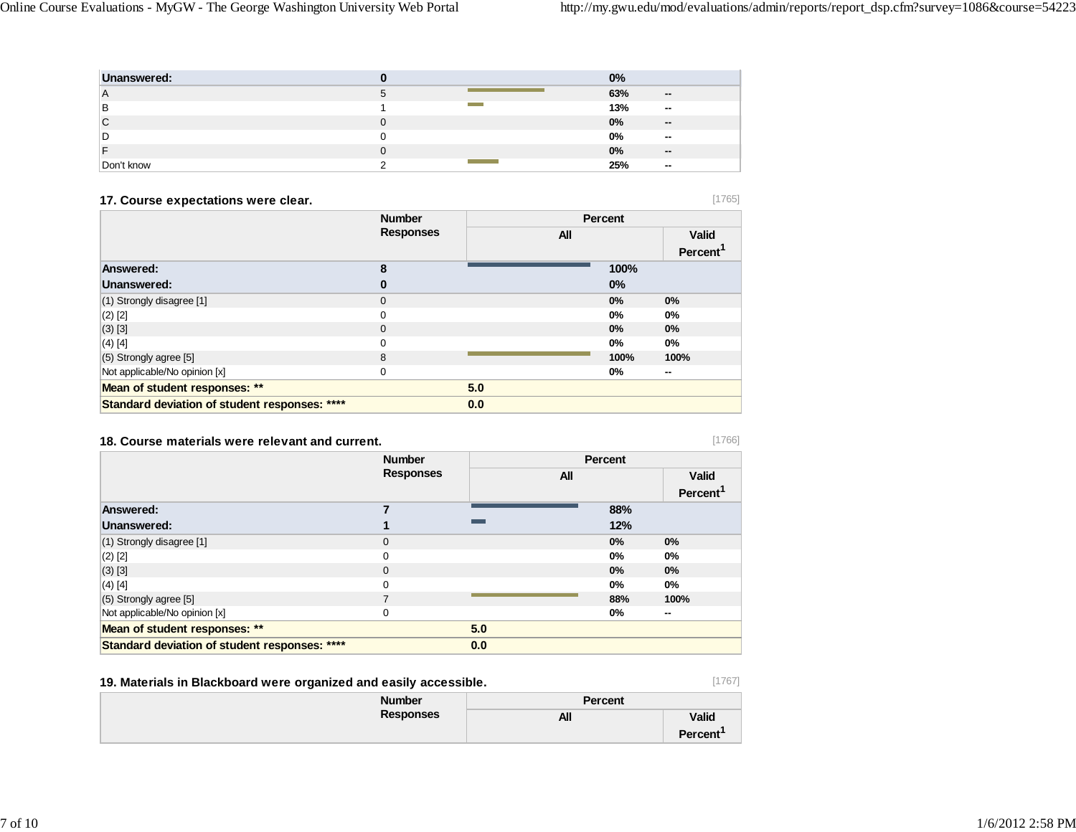| Unanswered: |  | 0%  |        |
|-------------|--|-----|--------|
| ۱A          |  | 63% | $\sim$ |
| ΙB          |  | 13% | $\sim$ |
| C           |  | 0%  | $\sim$ |
| l D         |  | 0%  | $\sim$ |
|             |  | 0%  | $\sim$ |
| Don't know  |  | 25% | $\sim$ |

# **17. Course expectations were clear.**

[1765]

[1766]

|                                               | <b>Number</b><br><b>Responses</b> |     | <b>Percent</b> |                      |
|-----------------------------------------------|-----------------------------------|-----|----------------|----------------------|
|                                               |                                   | All |                | <b>Valid</b>         |
|                                               |                                   |     |                | Percent <sup>1</sup> |
| Answered:                                     | 8                                 |     | 100%           |                      |
| Unanswered:                                   | 0                                 |     | 0%             |                      |
| (1) Strongly disagree [1]                     | $\mathbf 0$                       |     | 0%             | $0\%$                |
| $(2)$ [2]                                     | 0                                 |     | $0\%$          | 0%                   |
| $(3)$ [3]                                     | $\mathbf 0$                       |     | 0%             | $0\%$                |
| $(4)$ [4]                                     | 0                                 |     | $0\%$          | 0%                   |
| $(5)$ Strongly agree $[5]$                    | 8                                 |     | 100%           | 100%                 |
| Not applicable/No opinion [x]                 | $\mathbf 0$                       |     | 0%             | --                   |
| Mean of student responses: **                 |                                   | 5.0 |                |                      |
| Standard deviation of student responses: **** |                                   | 0.0 |                |                      |

#### **18. Course materials were relevant and current.**

|                                               | <b>Number</b><br><b>Responses</b> |     | <b>Percent</b> |                      |
|-----------------------------------------------|-----------------------------------|-----|----------------|----------------------|
|                                               |                                   | All |                | <b>Valid</b>         |
|                                               |                                   |     |                | Percent <sup>1</sup> |
| Answered:                                     | 7                                 |     | 88%            |                      |
| Unanswered:                                   |                                   |     | 12%            |                      |
| (1) Strongly disagree [1]                     | $\mathbf 0$                       |     | $0\%$          | $0\%$                |
| $(2)$ [2]                                     | 0                                 |     | $0\%$          | 0%                   |
| $(3)$ [3]                                     | $\mathbf 0$                       |     | 0%             | $0\%$                |
| $(4)$ [4]                                     | 0                                 |     | 0%             | $0\%$                |
| (5) Strongly agree [5]                        | $\overline{7}$                    |     | 88%            | 100%                 |
| Not applicable/No opinion [x]                 | 0                                 |     | $0\%$          | --                   |
| Mean of student responses: **                 |                                   | 5.0 |                |                      |
| Standard deviation of student responses: **** |                                   | 0.0 |                |                      |

# **19. Materials in Blackboard were organized and easily accessible.**

[1767]

| <u>101 maio: mo m siaomo oa: a n'oro organiso a ana oaong aovoomio:</u><br>__ |                  |                |                      |  |
|-------------------------------------------------------------------------------|------------------|----------------|----------------------|--|
|                                                                               | <b>Number</b>    | <b>Percent</b> |                      |  |
|                                                                               | <b>Responses</b> | All            | <b>Valid</b>         |  |
|                                                                               |                  |                | Percent <sup>1</sup> |  |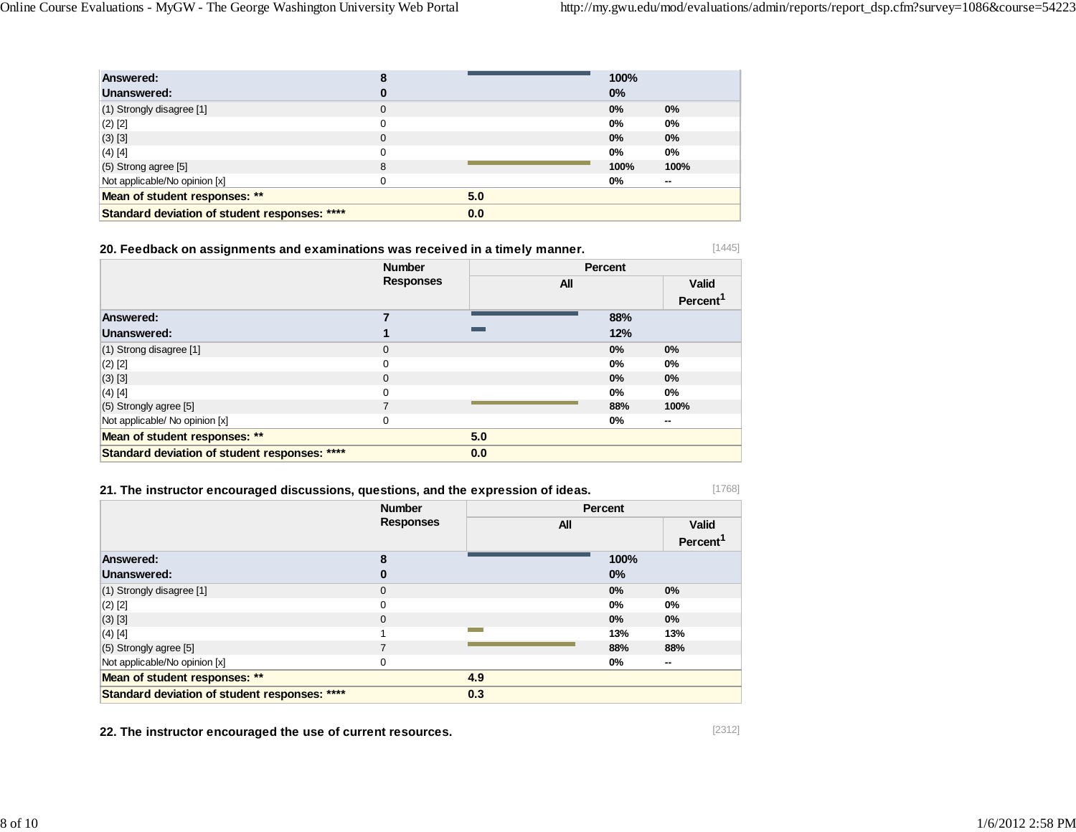| Answered:                                     |          |     | 100%  |        |
|-----------------------------------------------|----------|-----|-------|--------|
| Unanswered:                                   |          |     | $0\%$ |        |
| (1) Strongly disagree [1]                     | 0        |     | 0%    | $0\%$  |
| $(2)$ [2]                                     | $\Omega$ |     | $0\%$ | $0\%$  |
| (3) [3]                                       | 0        |     | 0%    | $0\%$  |
| $(4)$ [4]                                     | 0        |     | $0\%$ | $0\%$  |
| $(5)$ Strong agree $[5]$                      | 8        |     | 100%  | 100%   |
| Not applicable/No opinion [x]                 | 0        |     | $0\%$ | $\sim$ |
| Mean of student responses: **                 |          | 5.0 |       |        |
| Standard deviation of student responses: **** |          | 0.0 |       |        |

| 20. Feedback on assignments and examinations was received in a timely manner. |  |
|-------------------------------------------------------------------------------|--|
|-------------------------------------------------------------------------------|--|

|                                               | <b>Number</b>    |     | Percent |                      |  |
|-----------------------------------------------|------------------|-----|---------|----------------------|--|
|                                               | <b>Responses</b> | All |         | <b>Valid</b>         |  |
|                                               |                  |     |         | Percent <sup>1</sup> |  |
| Answered:                                     |                  |     | 88%     |                      |  |
| Unanswered:                                   |                  |     | 12%     |                      |  |
| (1) Strong disagree [1]                       | $\mathbf 0$      |     | $0\%$   | 0%                   |  |
| $(2)$ [2]                                     | $\mathbf 0$      |     | 0%      | $0\%$                |  |
| $(3)$ [3]                                     | $\mathbf 0$      |     | 0%      | $0\%$                |  |
| $(4)$ [4]                                     | $\mathbf 0$      |     | $0\%$   | $0\%$                |  |
| (5) Strongly agree [5]                        | 7                |     | 88%     | 100%                 |  |
| Not applicable/ No opinion [x]                | $\mathbf 0$      |     | 0%      | --                   |  |
| Mean of student responses: **                 |                  | 5.0 |         |                      |  |
| Standard deviation of student responses: **** |                  | 0.0 |         |                      |  |

# **21. The instructor encouraged discussions, questions, and the expression of ideas.**

|                                               | <b>Number</b>    |     | Percent |                                      |  |
|-----------------------------------------------|------------------|-----|---------|--------------------------------------|--|
|                                               | <b>Responses</b> | All |         | <b>Valid</b><br>Percent <sup>1</sup> |  |
| Answered:                                     | 8                |     | 100%    |                                      |  |
| Unanswered:                                   | 0                |     | $0\%$   |                                      |  |
| $(1)$ Strongly disagree $[1]$                 | $\mathbf{0}$     |     | 0%      | 0%                                   |  |
| $(2)$ [2]                                     | 0                |     | 0%      | $0\%$                                |  |
| $(3)$ [3]                                     | $\mathbf{0}$     |     | 0%      | $0\%$                                |  |
| $(4)$ [4]                                     |                  |     | 13%     | 13%                                  |  |
| (5) Strongly agree [5]                        | 7                |     | 88%     | 88%                                  |  |
| Not applicable/No opinion [x]                 | $\Omega$         |     | $0\%$   | $\sim$                               |  |
| Mean of student responses: **                 |                  | 4.9 |         |                                      |  |
| Standard deviation of student responses: **** |                  | 0.3 |         |                                      |  |

**22. The instructor encouraged the use of current resources.**

[1445]

[1768]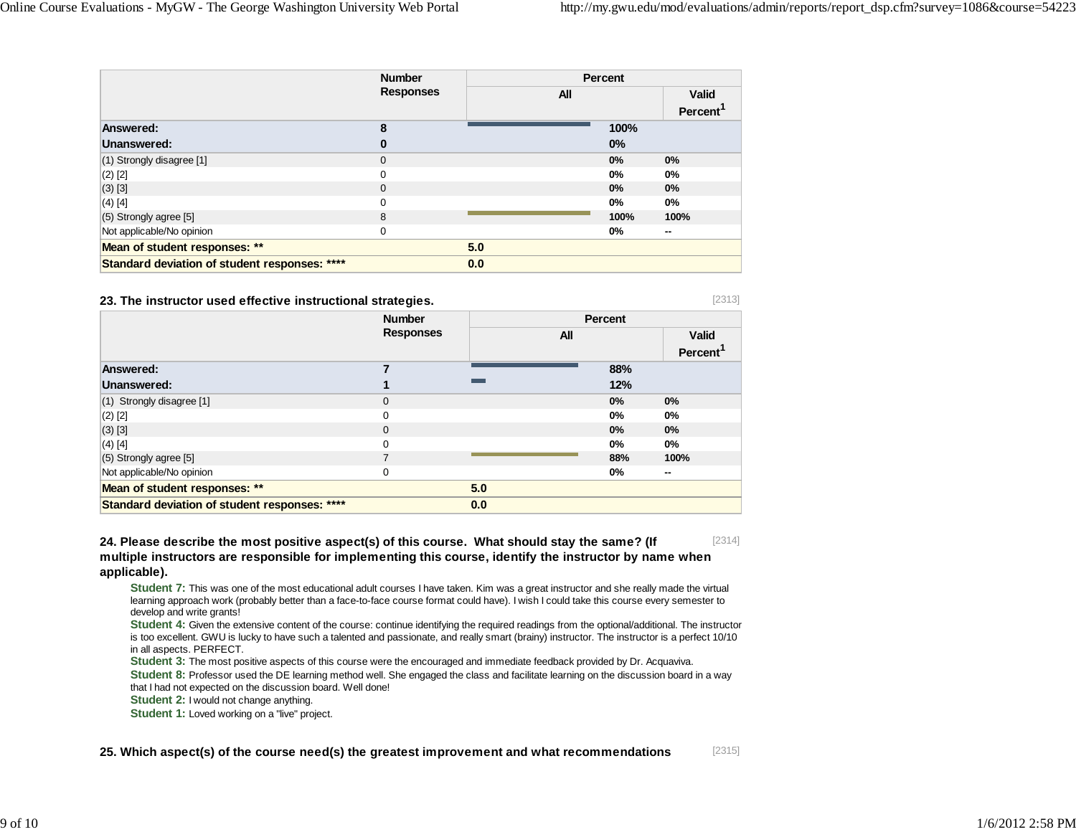[2313]

|                                               | <b>Number</b><br><b>Responses</b> |     | Percent |                      |  |
|-----------------------------------------------|-----------------------------------|-----|---------|----------------------|--|
|                                               |                                   | All |         | Valid                |  |
|                                               |                                   |     |         | Percent <sup>1</sup> |  |
| Answered:                                     | 8                                 |     | 100%    |                      |  |
| Unanswered:                                   | 0                                 |     | $0\%$   |                      |  |
| (1) Strongly disagree [1]                     | 0                                 |     | 0%      | 0%                   |  |
| $(2)$ [2]                                     | 0                                 |     | $0\%$   | $0\%$                |  |
| $(3)$ [3]                                     | 0                                 |     | 0%      | 0%                   |  |
| $(4)$ [4]                                     | 0                                 |     | $0\%$   | $0\%$                |  |
| (5) Strongly agree [5]                        | 8                                 |     | 100%    | 100%                 |  |
| Not applicable/No opinion                     | 0                                 |     | $0\%$   | $\sim$               |  |
| Mean of student responses: **                 |                                   | 5.0 |         |                      |  |
| Standard deviation of student responses: **** |                                   | 0.0 |         |                      |  |

#### **23. The instructor used effective instructional strategies.**

|                                               | <b>Number</b>    |            | <b>Percent</b> |                      |
|-----------------------------------------------|------------------|------------|----------------|----------------------|
|                                               | <b>Responses</b> | <b>All</b> |                | <b>Valid</b>         |
| Answered:                                     |                  |            | 88%            | Percent <sup>1</sup> |
|                                               |                  |            |                |                      |
| Unanswered:                                   |                  |            | 12%            |                      |
| (1) Strongly disagree [1]                     | $\mathbf{0}$     |            | 0%             | 0%                   |
| $(2)$ [2]                                     | 0                |            | 0%             | $0\%$                |
| $(3)$ [3]                                     | $\mathbf{0}$     |            | 0%             | 0%                   |
| $(4)$ [4]                                     | 0                |            | 0%             | 0%                   |
| $(5)$ Strongly agree [5]                      | 7                |            | 88%            | 100%                 |
| Not applicable/No opinion                     | $\mathbf 0$      |            | 0%             | $\sim$               |
| Mean of student responses: **                 |                  | 5.0        |                |                      |
| Standard deviation of student responses: **** |                  | 0.0        |                |                      |

[2314] **24. Please describe the most positive aspect(s) of this course. What should stay the same? (If multiple instructors are responsible for implementing this course, identify the instructor by name when applicable).**

**Student 7:** This was one of the most educational adult courses I have taken. Kim was a great instructor and she really made the virtual learning approach work (probably better than a face-to-face course format could have). I wish I could take this course every semester to develop and write grants!

**Student 4:** Given the extensive content of the course: continue identifying the required readings from the optional/additional. The instructor is too excellent. GWU is lucky to have such a talented and passionate, and really smart (brainy) instructor. The instructor is a perfect 10/10 in all aspects. PERFECT.

**Student 3:** The most positive aspects of this course were the encouraged and immediate feedback provided by Dr. Acquaviva.

**Student 8:** Professor used the DE learning method well. She engaged the class and facilitate learning on the discussion board in a way that I had not expected on the discussion board. Well done!

**Student 2:** I would not change anything.

**Student 1:** Loved working on a "live" project.

[2315] **25. Which aspect(s) of the course need(s) the greatest improvement and what recommendations**